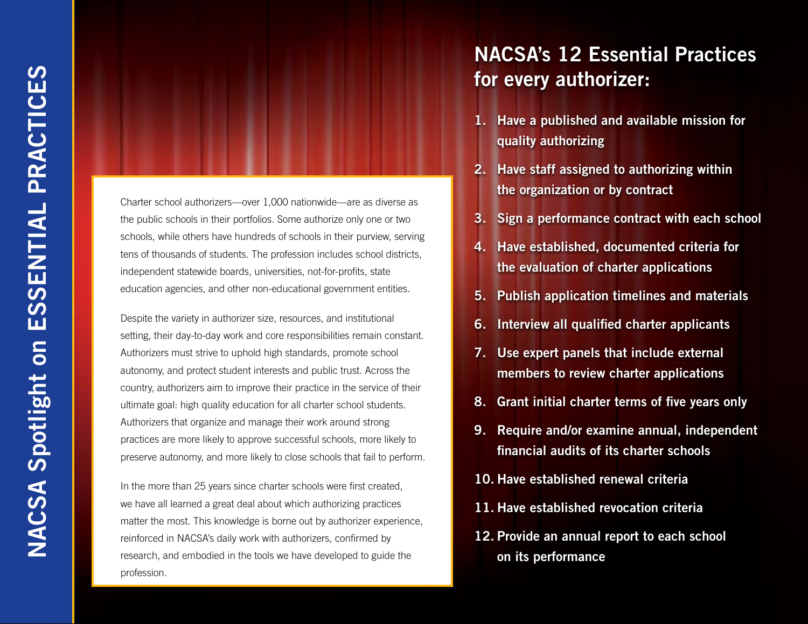Charter school authorizers—over 1,000 nationwide—are as diverse as the public schools in their portfolios. Some authorize only one or two schools, while others have hundreds of schools in their purview, serving tens of thousands of students. The profession includes school districts, independent statewide boards, universities, not-for-profits, state education agencies, and other non-educational government entities.

Despite the variety in authorizer size, resources, and institutional setting, their day-to-day work and core responsibilities remain constant. Authorizers must strive to uphold high standards, promote school autonomy, and protect student interests and public trust. Across the country, authorizers aim to improve their practice in the service of their ultimate goal: high quality education for all charter school students. Authorizers that organize and manage their work around strong practices are more likely to approve successful schools, more likely to preserve autonomy, and more likely to close schools that fail to perform.

In the more than 25 years since charter schools were first created, we have all learned a great deal about which authorizing practices matter the most. This knowledge is borne out by authorizer experience, reinforced in NACSA's daily work with authorizers, confirmed by research, and embodied in the tools we have developed to guide the profession.

## NACSA's 12 Essential Practices for every authorizer:

- 1. Have a published and available mission for quality authorizing
- 2. Have staff assigned to authorizing within the organization or by contract
- 3. Sign a performance contract with each school
- 4. Have established, documented criteria for the evaluation of charter applications
- 5. Publish application timelines and materials
- 6. Interview all qualified charter applicants
- 7. Use expert panels that include external members to review charter applications
- 8. Grant initial charter terms of five years only
- 9. Require and/or examine annual, independent financial audits of its charter schools
- 10. Have established renewal criteria
- 11. Have established revocation criteria
- 12. Provide an annual report to each school on its performance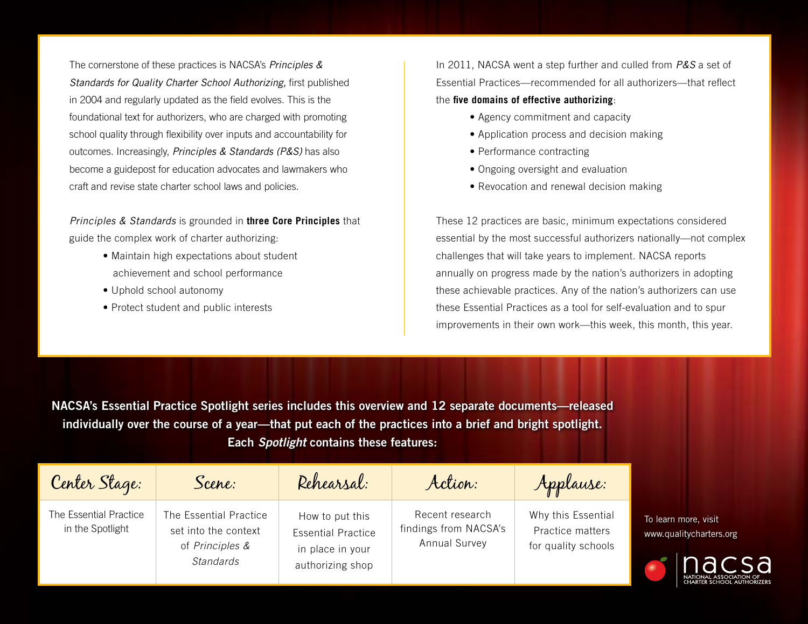The cornerstone of these practices is NACSA's *Principles & Standards for Quality Charter School Authorizing,* first published in 2004 and regularly updated as the field evolves. This is the foundational text for authorizers, who are charged with promoting school quality through flexibility over inputs and accountability for outcomes. Increasingly, *Principles & Standards (P&S)* has also become a guidepost for education advocates and lawmakers who craft and revise state charter school laws and policies.

*Principles & Standards* is grounded in **three Core Principles** that guide the complex work of charter authorizing:

- Maintain high expectations about student achievement and school performance
- Uphold school autonomy
- Protect student and public interests

In 2011, NACSA went a step further and culled from *P&S* a set of Essential Practices—recommended for all authorizers—that reflect the **five domains of effective authorizing**:

- Agency commitment and capacity
- Application process and decision making
- Performance contracting
- Ongoing oversight and evaluation
- Revocation and renewal decision making

These 12 practices are basic, minimum expectations considered essential by the most successful authorizers nationally—not complex challenges that will take years to implement. NACSA reports annually on progress made by the nation's authorizers in adopting these achievable practices. Any of the nation's authorizers can use these Essential Practices as a tool for self-evaluation and to spur improvements in their own work—this week, this month, this year.

NACSA's Essential Practice Spotlight series includes this overview and 12 separate documents—released individually over the course of a year—that put each of the practices into a brief and bright spotlight. Each *Spotlight* contains these features:

| Center Stage:                              | Scene:                                                                                | Rehearsal:                                                                           | Action:                                                   | Applause:                                                     |
|--------------------------------------------|---------------------------------------------------------------------------------------|--------------------------------------------------------------------------------------|-----------------------------------------------------------|---------------------------------------------------------------|
| The Essential Practice<br>in the Spotlight | The Essential Practice<br>set into the context<br>of Principles &<br><b>Standards</b> | How to put this<br><b>Essential Practice</b><br>in place in your<br>authorizing shop | Recent research<br>findings from NACSA's<br>Annual Survey | Why this Essential<br>Practice matters<br>for quality schools |

To learn more, visit www.qualitycharters.org

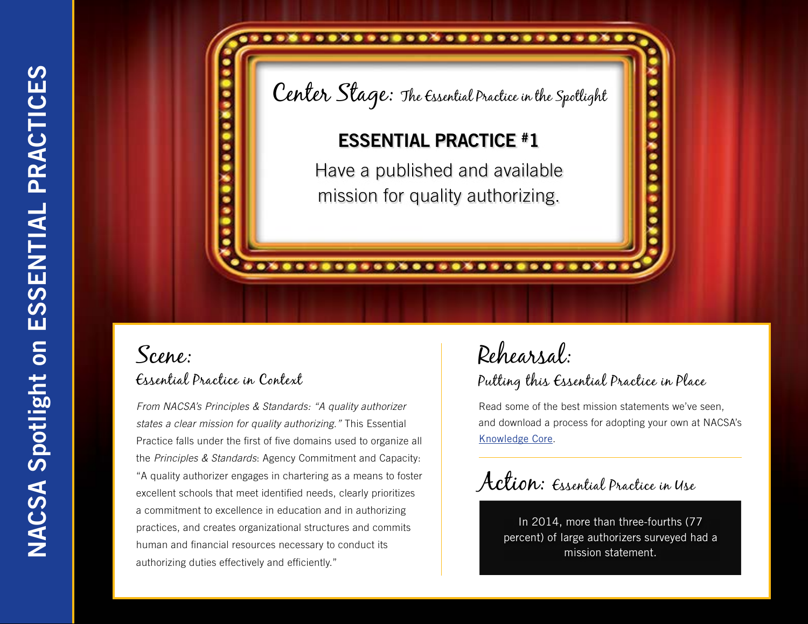

*From NACSA's Principles & Standards: "A quality authorizer states a clear mission for quality authorizing."* This Essential Practice falls under the first of five domains used to organize all the *Principles & Standards*: Agency Commitment and Capacity: "A quality authorizer engages in chartering as a means to foster excellent schools that meet identified needs, clearly prioritizes a commitment to excellence in education and in authorizing practices, and creates organizational structures and commits human and financial resources necessary to conduct its authorizing duties effectively and efficiently."

## Rehearsal: Putting this Essential Practice in Place

Read some of the best mission statements we've seen, and download a process for adopting your own at NACSA's [Knowledge Core](http://www.qualitycharters.org/publications-resources/about-nacsa-knowledge-core/).

Action: Essential Practice in Use

In 2014, more than three-fourths (77 percent) of large authorizers surveyed had a mission statement.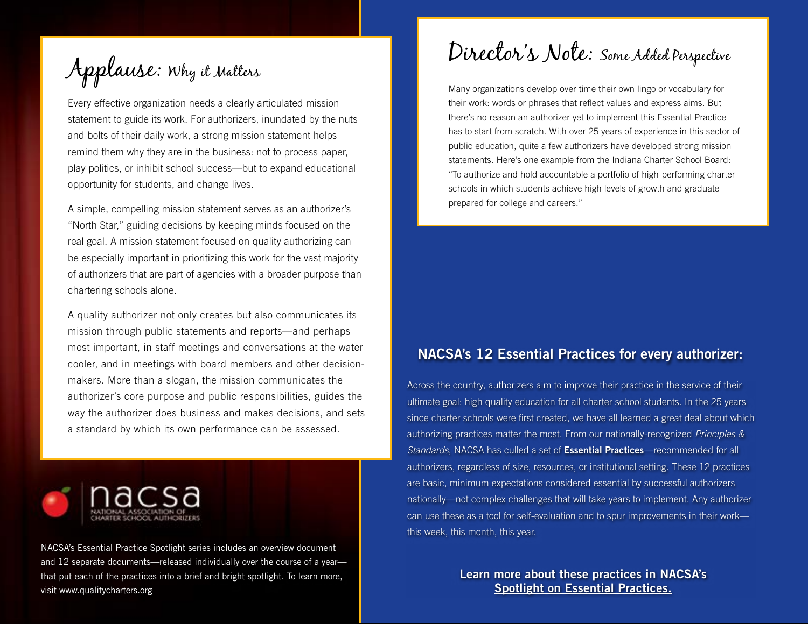Applause: Why it Matters

Every effective organization needs a clearly articulated mission statement to guide its work. For authorizers, inundated by the nuts and bolts of their daily work, a strong mission statement helps remind them why they are in the business: not to process paper, play politics, or inhibit school success—but to expand educational opportunity for students, and change lives.

A simple, compelling mission statement serves as an authorizer's "North Star," guiding decisions by keeping minds focused on the real goal. A mission statement focused on quality authorizing can be especially important in prioritizing this work for the vast majority of authorizers that are part of agencies with a broader purpose than chartering schools alone.

A quality authorizer not only creates but also communicates its mission through public statements and reports—and perhaps most important, in staff meetings and conversations at the water cooler, and in meetings with board members and other decisionmakers. More than a slogan, the mission communicates the authorizer's core purpose and public responsibilities, guides the way the authorizer does business and makes decisions, and sets a standard by which its own performance can be assessed.



NACSA's Essential Practice Spotlight series includes an overview document and 12 separate documents—released individually over the course of a year that put each of the practices into a brief and bright spotlight. To learn more, visit www.qualitycharters.org

Director's Note: Some Added Perspective

Many organizations develop over time their own lingo or vocabulary for their work: words or phrases that reflect values and express aims. But there's no reason an authorizer yet to implement this Essential Practice has to start from scratch. With over 25 years of experience in this sector of public education, quite a few authorizers have developed strong mission statements. Here's one example from the Indiana Charter School Board: "To authorize and hold accountable a portfolio of high-performing charter schools in which students achieve high levels of growth and graduate prepared for college and careers."

#### NACSA's 12 Essential Practices for every authorizer:

Across the country, authorizers aim to improve their practice in the service of their ultimate goal: high quality education for all charter school students. In the 25 years since charter schools were first created, we have all learned a great deal about which authorizing practices matter the most. From our nationally-recognized *Principles & Standards*, NACSA has culled a set of Essential Practices—recommended for all authorizers, regardless of size, resources, or institutional setting. These 12 practices are basic, minimum expectations considered essential by successful authorizers nationally—not complex challenges that will take years to implement. Any authorizer can use these as a tool for self-evaluation and to spur improvements in their work this week, this month, this year.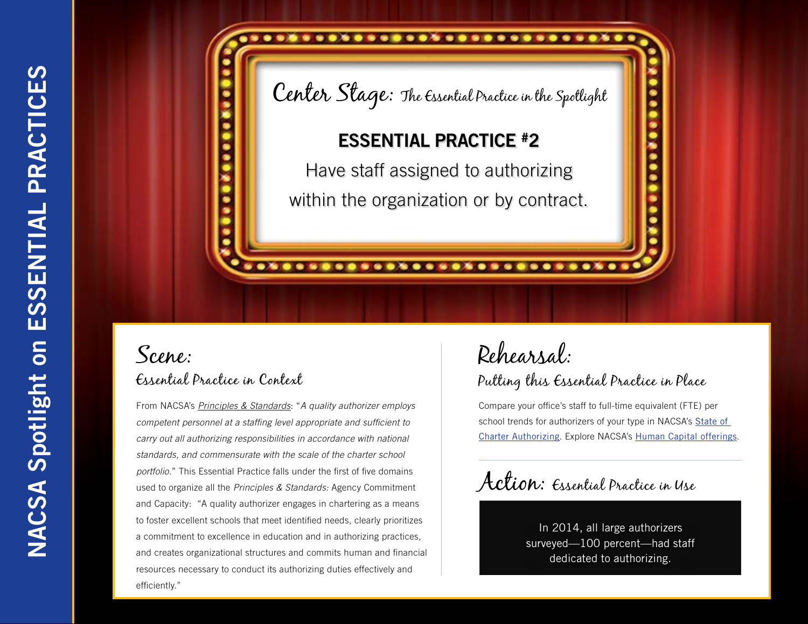.......................

Center Stage: The Essential Practice in the Spotlight

### ESSENTIAL PRACTICE #2

Have staff assigned to authorizing within the organization or by contract.

............................

## Scene: Essential Practice in Context

From NACSA's *Principles & Standards*: "*A quality authorizer employs competent personnel at a staffing level appropriate and sufficient to carry out all authorizing responsibilities in accordance with national standards, and commensurate with the scale of the charter school portfolio.*" This Essential Practice falls under the first of five domains used to organize all the *Principles & Standards:* Agency Commitment and Capacity: "A quality authorizer engages in chartering as a means to foster excellent schools that meet identified needs, clearly prioritizes a commitment to excellence in education and in authorizing practices, and creates organizational structures and commits human and financial resources necessary to conduct its authorizing duties effectively and efficiently."

## Rehearsal: Putting this Essential Practice in Place

Compare your office's staff to full-time equivalent (FTE) per school trends for authorizers of your type in NACSA's [State of](http://www.qualitycharters.org/publications-resources/annual-authorizer-survey.html)  [Charter Authorizing](http://www.qualitycharters.org/publications-resources/annual-authorizer-survey.html). Explore NACSA's [Human Capital offerings](http://www.qualitycharters.org/institute/leaders-program/).

Action: Essential Practice in Use

In 2014, all large authorizers surveyed—100 percent—had staff dedicated to authorizing.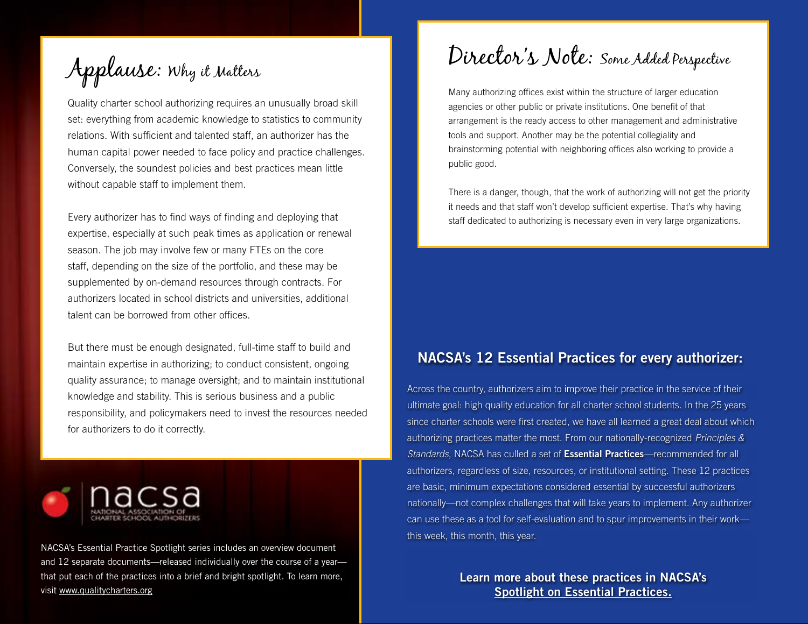Applause: Why it Matters

Quality charter school authorizing requires an unusually broad skill set: everything from academic knowledge to statistics to community relations. With sufficient and talented staff, an authorizer has the human capital power needed to face policy and practice challenges. Conversely, the soundest policies and best practices mean little without capable staff to implement them.

Every authorizer has to find ways of finding and deploying that expertise, especially at such peak times as application or renewal season. The job may involve few or many FTEs on the core staff, depending on the size of the portfolio, and these may be supplemented by on-demand resources through contracts. For authorizers located in school districts and universities, additional talent can be borrowed from other offices.

But there must be enough designated, full-time staff to build and maintain expertise in authorizing; to conduct consistent, ongoing quality assurance; to manage oversight; and to maintain institutional knowledge and stability. This is serious business and a public responsibility, and policymakers need to invest the resources needed for authorizers to do it correctly.



NACSA's Essential Practice Spotlight series includes an overview document and 12 separate documents—released individually over the course of a year that put each of the practices into a brief and bright spotlight. To learn more, visit [www.qualitycharters.org](http://www.qualitycharters.org)

Director's Note: Some Added Perspective

Many authorizing offices exist within the structure of larger education agencies or other public or private institutions. One benefit of that arrangement is the ready access to other management and administrative tools and support. Another may be the potential collegiality and brainstorming potential with neighboring offices also working to provide a public good.

There is a danger, though, that the work of authorizing will not get the priority it needs and that staff won't develop sufficient expertise. That's why having staff dedicated to authorizing is necessary even in very large organizations.

#### NACSA's 12 Essential Practices for every authorizer:

Across the country, authorizers aim to improve their practice in the service of their ultimate goal: high quality education for all charter school students. In the 25 years since charter schools were first created, we have all learned a great deal about which authorizing practices matter the most. From our nationally-recognized *Principles & Standards*, NACSA has culled a set of Essential Practices—recommended for all authorizers, regardless of size, resources, or institutional setting. These 12 practices are basic, minimum expectations considered essential by successful authorizers nationally—not complex challenges that will take years to implement. Any authorizer can use these as a tool for self-evaluation and to spur improvements in their work this week, this month, this year.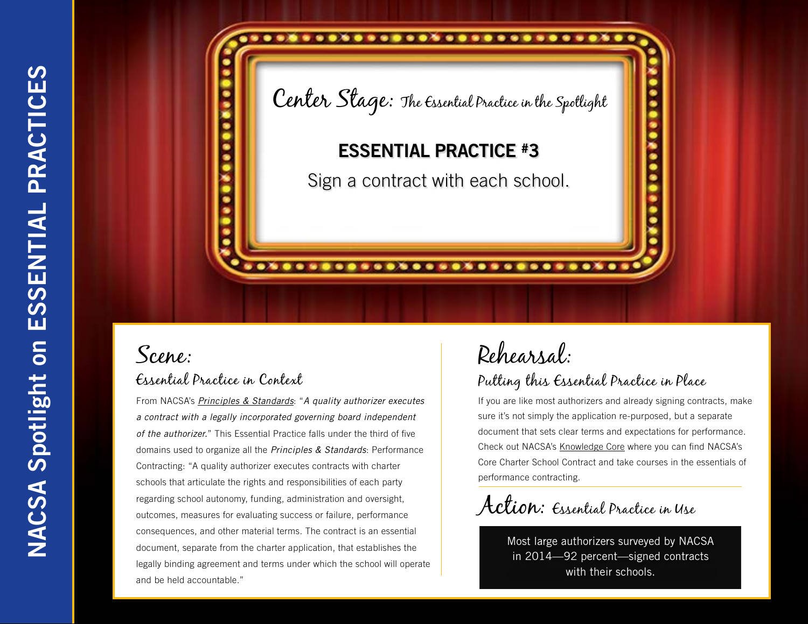

From NACSA's *[Principles & Standards](http://www.qualitycharters.org/publications-resources/principles-standards.html)*: "*A quality authorizer executes a contract with a legally incorporated governing board independent of the authorizer.*" This Essential Practice falls under the third of five domains used to organize all the *Principles & Standards*: Performance Contracting: "A quality authorizer executes contracts with charter schools that articulate the rights and responsibilities of each party regarding school autonomy, funding, administration and oversight, outcomes, measures for evaluating success or failure, performance consequences, and other material terms. The contract is an essential document, separate from the charter application, that establishes the legally binding agreement and terms under which the school will operate and be held accountable."

# Rehearsal:

### Putting this Essential Practice in Place

If you are like most authorizers and already signing contracts, make sure it's not simply the application re-purposed, but a separate document that sets clear terms and expectations for performance. Check out NACSA's [Knowledge Core](http://www.qualitycharters.org/publications-resources/about-nacsa-knowledge-core/) where you can find NACSA's Core Charter School Contract and take courses in the essentials of performance contracting.

Action: Essential Practice in Use

Most large authorizers surveyed by NACSA in 2014—92 percent—signed contracts with their schools.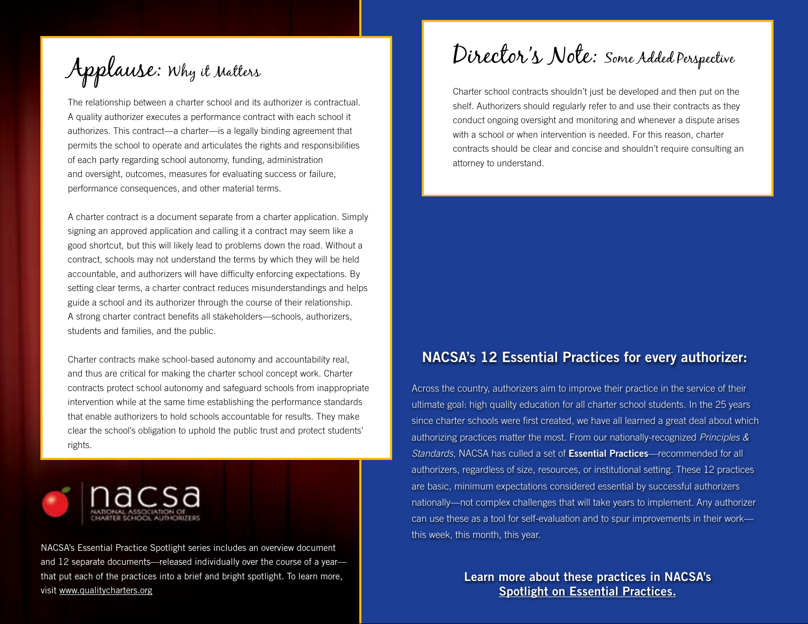Applause: Why it Matters

The relationship between a charter school and its authorizer is contractual. A quality authorizer executes a performance contract with each school it authorizes. This contract—a charter—is a legally binding agreement that permits the school to operate and articulates the rights and responsibilities of each party regarding school autonomy, funding, administration and oversight, outcomes, measures for evaluating success or failure, performance consequences, and other material terms.

A charter contract is a document separate from a charter application. Simply signing an approved application and calling it a contract may seem like a good shortcut, but this will likely lead to problems down the road. Without a contract, schools may not understand the terms by which they will be held accountable, and authorizers will have difficulty enforcing expectations. By setting clear terms, a charter contract reduces misunderstandings and helps guide a school and its authorizer through the course of their relationship. A strong charter contract benefits all stakeholders—schools, authorizers, students and families, and the public.

Charter contracts make school-based autonomy and accountability real, and thus are critical for making the charter school concept work. Charter contracts protect school autonomy and safeguard schools from inappropriate intervention while at the same time establishing the performance standards that enable authorizers to hold schools accountable for results. They make clear the school's obligation to uphold the public trust and protect students' rights.



NACSA's Essential Practice Spotlight series includes an overview document and 12 separate documents—released individually over the course of a year that put each of the practices into a brief and bright spotlight. To learn more, visit [www.qualitycharters.org](http://www.qualitycharters.org)

## Director's Note: Some Added Perspective

Charter school contracts shouldn't just be developed and then put on the shelf. Authorizers should regularly refer to and use their contracts as they conduct ongoing oversight and monitoring and whenever a dispute arises with a school or when intervention is needed. For this reason, charter contracts should be clear and concise and shouldn't require consulting an attorney to understand.

### NACSA's 12 Essential Practices for every authorizer:

Across the country, authorizers aim to improve their practice in the service of their ultimate goal: high quality education for all charter school students. In the 25 years since charter schools were first created, we have all learned a great deal about which authorizing practices matter the most. From our nationally-recognized *Principles & Standards*, NACSA has culled a set of Essential Practices—recommended for all authorizers, regardless of size, resources, or institutional setting. These 12 practices are basic, minimum expectations considered essential by successful authorizers nationally—not complex challenges that will take years to implement. Any authorizer can use these as a tool for self-evaluation and to spur improvements in their work this week, this month, this year.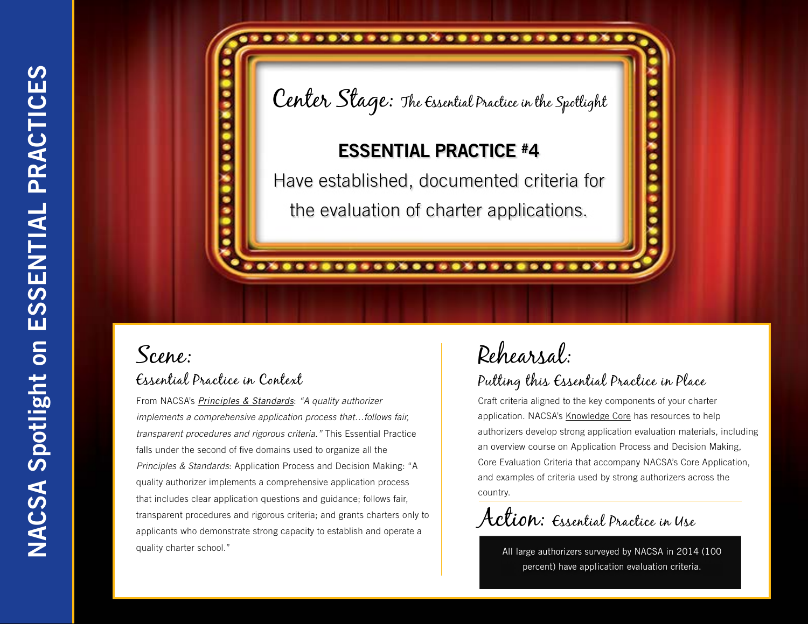# Center Stage: The Essential Practice in the Spotlight

...........................

### ESSENTIAL PRACTICE #4

Have established, documented criteria for the evaluation of charter applications.

...........................

## Scene: Essential Practice in Context

From NACSA's *[Principles & Standards](http://www.qualitycharters.org/publications-resources/principles-standards.html)*: *"A quality authorizer implements a comprehensive application process that…follows fair, transparent procedures and rigorous criteria."* This Essential Practice falls under the second of five domains used to organize all the *Principles & Standards*: Application Process and Decision Making: "A quality authorizer implements a comprehensive application process that includes clear application questions and guidance; follows fair, transparent procedures and rigorous criteria; and grants charters only to applicants who demonstrate strong capacity to establish and operate a quality charter school."

# Rehearsal:

### Putting this Essential Practice in Place

Craft criteria aligned to the key components of your charter application. NACSA's [Knowledge Core](http://www.qualitycharters.org/publications-resources/about-nacsa-knowledge-core/) has resources to help authorizers develop strong application evaluation materials, including an overview course on Application Process and Decision Making, Core Evaluation Criteria that accompany NACSA's Core Application, and examples of criteria used by strong authorizers across the country.

Action: Essential Practice in Use

All large authorizers surveyed by NACSA in 2014 (100 percent) have application evaluation criteria.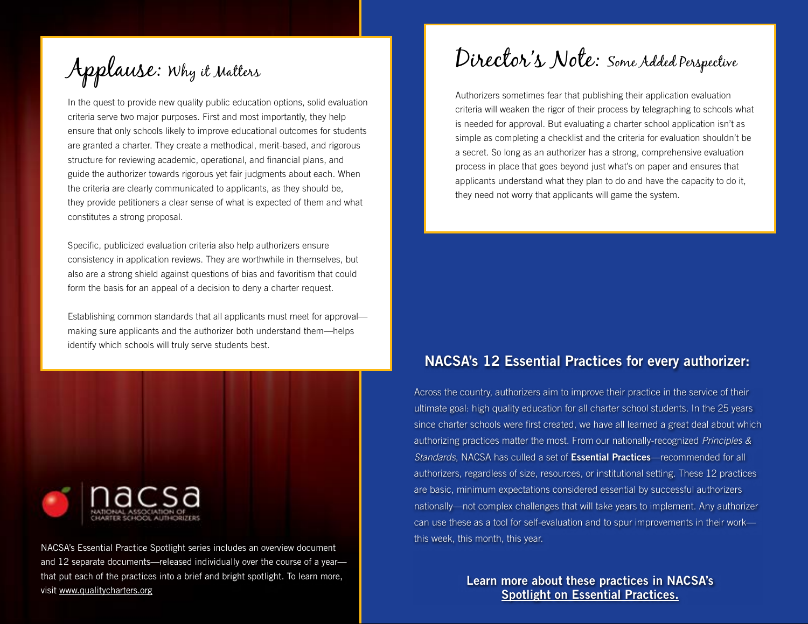Applause: Why it Matters

In the quest to provide new quality public education options, solid evaluation criteria serve two major purposes. First and most importantly, they help ensure that only schools likely to improve educational outcomes for students are granted a charter. They create a methodical, merit-based, and rigorous structure for reviewing academic, operational, and financial plans, and guide the authorizer towards rigorous yet fair judgments about each. When the criteria are clearly communicated to applicants, as they should be, they provide petitioners a clear sense of what is expected of them and what constitutes a strong proposal.

Specific, publicized evaluation criteria also help authorizers ensure consistency in application reviews. They are worthwhile in themselves, but also are a strong shield against questions of bias and favoritism that could form the basis for an appeal of a decision to deny a charter request.

Establishing common standards that all applicants must meet for approval making sure applicants and the authorizer both understand them—helps identify which schools will truly serve students best.



NACSA's Essential Practice Spotlight series includes an overview document and 12 separate documents—released individually over the course of a year that put each of the practices into a brief and bright spotlight. To learn more, visit [www.qualitycharters.org](http://www.qualitycharters.org)

# Director's Note: Some Added Perspective

Authorizers sometimes fear that publishing their application evaluation criteria will weaken the rigor of their process by telegraphing to schools what is needed for approval. But evaluating a charter school application isn't as simple as completing a checklist and the criteria for evaluation shouldn't be a secret. So long as an authorizer has a strong, comprehensive evaluation process in place that goes beyond just what's on paper and ensures that applicants understand what they plan to do and have the capacity to do it, they need not worry that applicants will game the system.

#### NACSA's 12 Essential Practices for every authorizer:

Across the country, authorizers aim to improve their practice in the service of their ultimate goal: high quality education for all charter school students. In the 25 years since charter schools were first created, we have all learned a great deal about which authorizing practices matter the most. From our nationally-recognized *Principles & Standards*, NACSA has culled a set of Essential Practices—recommended for all authorizers, regardless of size, resources, or institutional setting. These 12 practices are basic, minimum expectations considered essential by successful authorizers nationally—not complex challenges that will take years to implement. Any authorizer can use these as a tool for self-evaluation and to spur improvements in their work this week, this month, this year.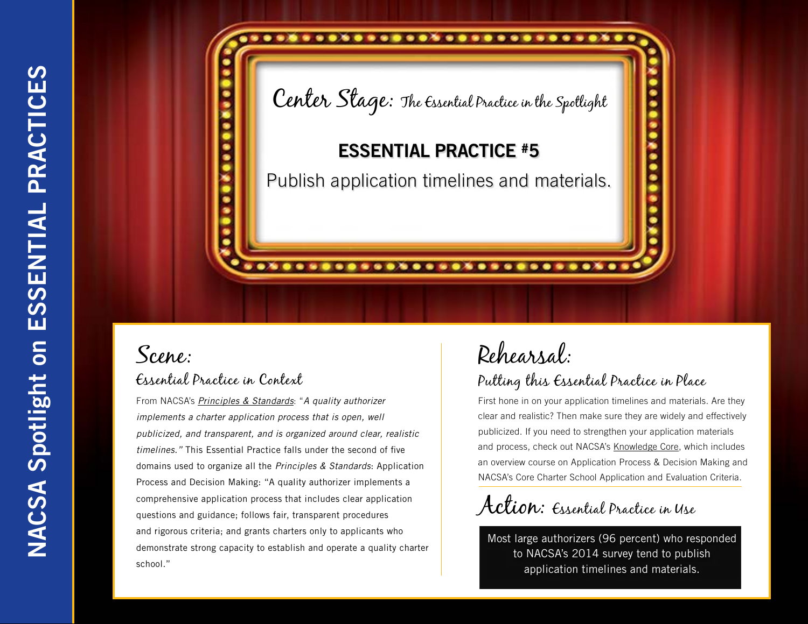

From NACSA's *[Principles & Standards](http://www.qualitycharters.org/publications-resources/principles-standards.html)*: "*A quality authorizer implements a charter application process that is open, well publicized, and transparent, and is organized around clear, realistic timelines."* This Essential Practice falls under the second of five domains used to organize all the *Principles & Standards*: Application Process and Decision Making: "A quality authorizer implements a comprehensive application process that includes clear application questions and guidance; follows fair, transparent procedures and rigorous criteria; and grants charters only to applicants who demonstrate strong capacity to establish and operate a quality charter school."

## Rehearsal: Putting this Essential Practice in Place

First hone in on your application timelines and materials. Are they clear and realistic? Then make sure they are widely and effectively publicized. If you need to strengthen your application materials and process, check out NACSA's [Knowledge Core](http://www.qualitycharters.org/publications-resources/about-nacsa-knowledge-core/), which includes an overview course on Application Process & Decision Making and NACSA's Core Charter School Application and Evaluation Criteria.

Action: Essential Practice in Use

Most large authorizers (96 percent) who responded to NACSA's 2014 survey tend to publish application timelines and materials.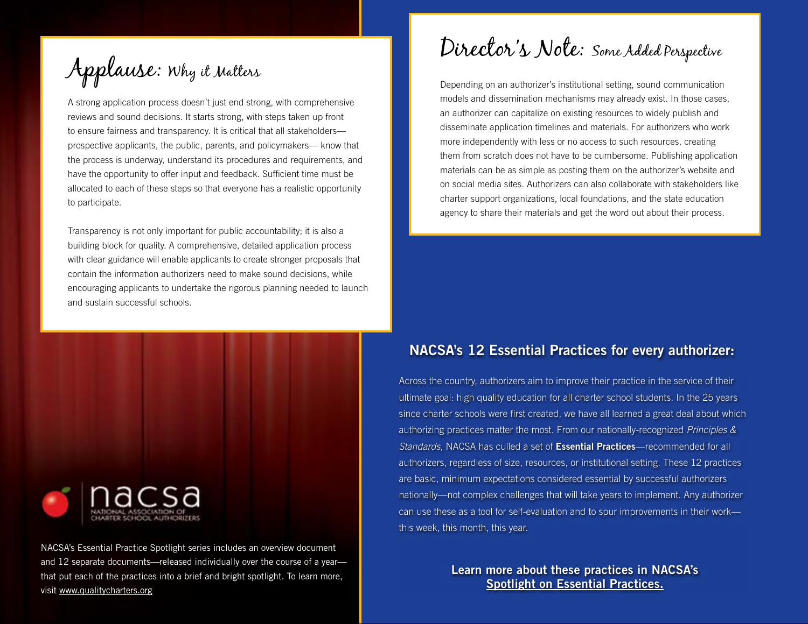Applause: Why it Matters

A strong application process doesn't just end strong, with comprehensive reviews and sound decisions. It starts strong, with steps taken up front to ensure fairness and transparency. It is critical that all stakeholders prospective applicants, the public, parents, and policymakers— know that the process is underway, understand its procedures and requirements, and have the opportunity to offer input and feedback. Sufficient time must be allocated to each of these steps so that everyone has a realistic opportunity to participate.

Transparency is not only important for public accountability; it is also a building block for quality. A comprehensive, detailed application process with clear guidance will enable applicants to create stronger proposals that contain the information authorizers need to make sound decisions, while encouraging applicants to undertake the rigorous planning needed to launch and sustain successful schools.



NACSA's Essential Practice Spotlight series includes an overview document and 12 separate documents—released individually over the course of a year that put each of the practices into a brief and bright spotlight. To learn more, visit [www.qualitycharters.org](http://www.qualitycharters.org)

Director's Note: Some Added Perspective

Depending on an authorizer's institutional setting, sound communication models and dissemination mechanisms may already exist. In those cases, an authorizer can capitalize on existing resources to widely publish and disseminate application timelines and materials. For authorizers who work more independently with less or no access to such resources, creating them from scratch does not have to be cumbersome. Publishing application materials can be as simple as posting them on the authorizer's website and on social media sites. Authorizers can also collaborate with stakeholders like charter support organizations, local foundations, and the state education agency to share their materials and get the word out about their process.

### NACSA's 12 Essential Practices for every authorizer:

Across the country, authorizers aim to improve their practice in the service of their ultimate goal: high quality education for all charter school students. In the 25 years since charter schools were first created, we have all learned a great deal about which authorizing practices matter the most. From our nationally-recognized *Principles & Standards*, NACSA has culled a set of Essential Practices—recommended for all authorizers, regardless of size, resources, or institutional setting. These 12 practices are basic, minimum expectations considered essential by successful authorizers nationally—not complex challenges that will take years to implement. Any authorizer can use these as a tool for self-evaluation and to spur improvements in their work this week, this month, this year.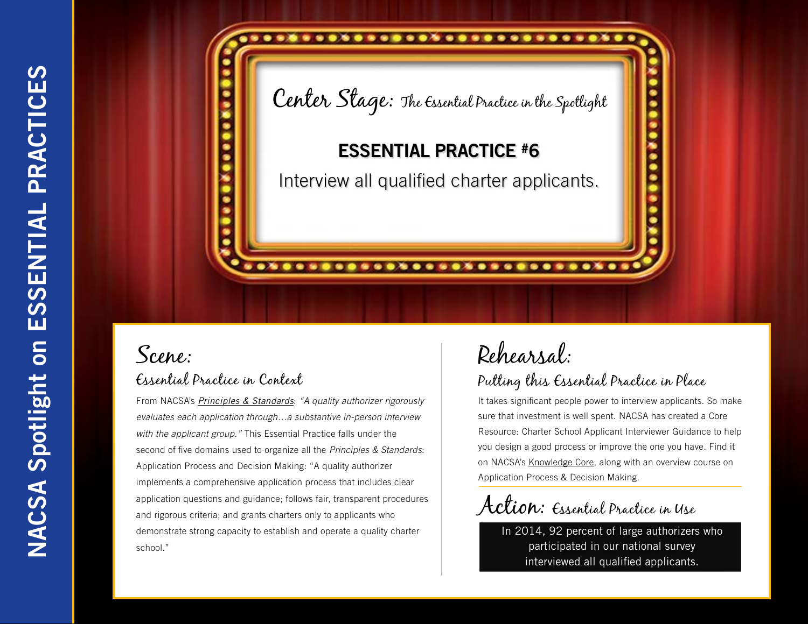

From NACSA's *[Principles & Standards](http://www.qualitycharters.org/publications-resources/principles-standards.html)*: *"A quality authorizer rigorously evaluates each application through…a substantive in-person interview with the applicant group."* This Essential Practice falls under the second of five domains used to organize all the *Principles & Standards*: Application Process and Decision Making: "A quality authorizer implements a comprehensive application process that includes clear application questions and guidance; follows fair, transparent procedures and rigorous criteria; and grants charters only to applicants who demonstrate strong capacity to establish and operate a quality charter school."

# Rehearsal:

### Putting this Essential Practice in Place

It takes significant people power to interview applicants. So make sure that investment is well spent. NACSA has created a Core Resource: Charter School Applicant Interviewer Guidance to help you design a good process or improve the one you have. Find it on NACSA's [Knowledge Core](http://www.qualitycharters.org/publications-resources/about-nacsa-knowledge-core/), along with an overview course on Application Process & Decision Making.

Action: Essential Practice in Use

In 2014, 92 percent of large authorizers who participated in our national survey interviewed all qualified applicants.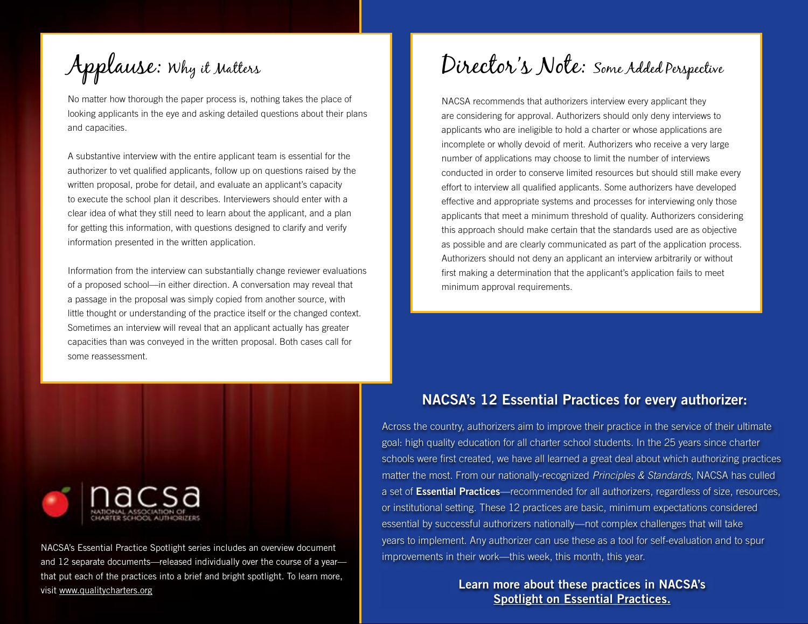Applause: Why it Matters

No matter how thorough the paper process is, nothing takes the place of looking applicants in the eye and asking detailed questions about their plans and capacities.

A substantive interview with the entire applicant team is essential for the authorizer to vet qualified applicants, follow up on questions raised by the written proposal, probe for detail, and evaluate an applicant's capacity to execute the school plan it describes. Interviewers should enter with a clear idea of what they still need to learn about the applicant, and a plan for getting this information, with questions designed to clarify and verify information presented in the written application.

Information from the interview can substantially change reviewer evaluations of a proposed school—in either direction. A conversation may reveal that a passage in the proposal was simply copied from another source, with little thought or understanding of the practice itself or the changed context. Sometimes an interview will reveal that an applicant actually has greater capacities than was conveyed in the written proposal. Both cases call for some reassessment.

## Director's Note: Some Added Perspective

NACSA recommends that authorizers interview every applicant they are considering for approval. Authorizers should only deny interviews to applicants who are ineligible to hold a charter or whose applications are incomplete or wholly devoid of merit. Authorizers who receive a very large number of applications may choose to limit the number of interviews conducted in order to conserve limited resources but should still make every effort to interview all qualified applicants. Some authorizers have developed effective and appropriate systems and processes for interviewing only those applicants that meet a minimum threshold of quality. Authorizers considering this approach should make certain that the standards used are as objective as possible and are clearly communicated as part of the application process. Authorizers should not deny an applicant an interview arbitrarily or without first making a determination that the applicant's application fails to meet minimum approval requirements.

#### NACSA's 12 Essential Practices for every authorizer:

Across the country, authorizers aim to improve their practice in the service of their ultimate goal: high quality education for all charter school students. In the 25 years since charter schools were first created, we have all learned a great deal about which authorizing practices matter the most. From our nationally-recognized *Principles & Standards*, NACSA has culled a set of Essential Practices—recommended for all authorizers, regardless of size, resources, or institutional setting. These 12 practices are basic, minimum expectations considered essential by successful authorizers nationally—not complex challenges that will take years to implement. Any authorizer can use these as a tool for self-evaluation and to spur improvements in their work—this week, this month, this year.

#### Learn more about these practices in NACSA's [Spotlight on Essential Practices.](Spotlight on Essential Practices)



NACSA's Essential Practice Spotlight series includes an overview document and 12 separate documents—released individually over the course of a year that put each of the practices into a brief and bright spotlight. To learn more, visit [www.qualitycharters.org](http://www.qualitycharters.org)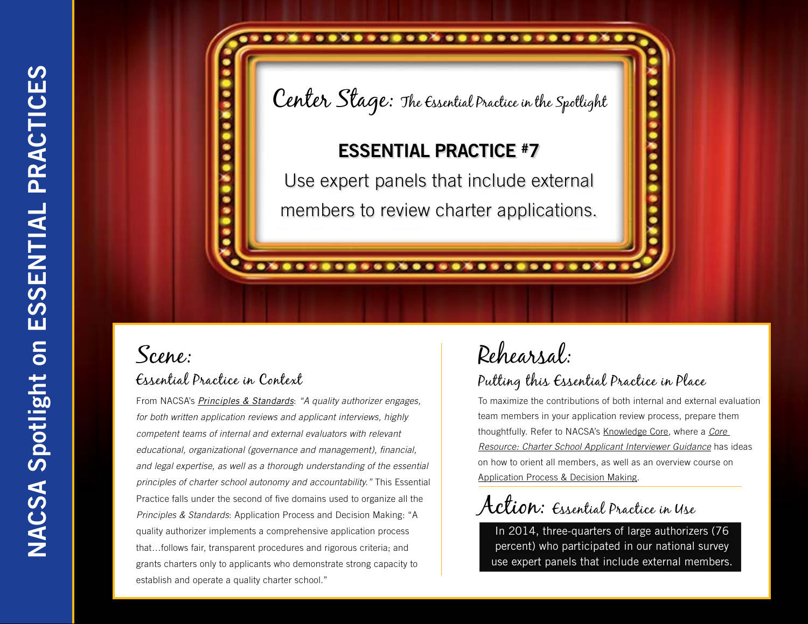# Center Stage: The Essential Practice in the Spotlight

.........................

### ESSENTIAL PRACTICE #7

Use expert panels that include external members to review charter applications.

............................

## Scene: Essential Practice in Context

From NACSA's *[Principles & Standards](http://www.qualitycharters.org/publications-resources/principles-standards.html)*: *"A quality authorizer engages, for both written application reviews and applicant interviews, highly competent teams of internal and external evaluators with relevant educational, organizational (governance and management), financial, and legal expertise, as well as a thorough understanding of the essential principles of charter school autonomy and accountability."* This Essential Practice falls under the second of five domains used to organize all the *Principles & Standards*: Application Process and Decision Making: "A quality authorizer implements a comprehensive application process that…follows fair, transparent procedures and rigorous criteria; and grants charters only to applicants who demonstrate strong capacity to establish and operate a quality charter school."

# Rehearsal:

### Putting this Essential Practice in Place

To maximize the contributions of both internal and external evaluation team members in your application review process, prepare them thoughtfully. Refer to NACSA's [Knowledge Core](http://www.qualitycharters.org/publications-resources/about-nacsa-knowledge-core/), where a *[Core](http://nacsa.mycrowdwisdom.com/diweb/catalog/item/id/77033/q/c%3D82%26t%3D2196)  [Resource: Charter School Applicant Interviewer Guidance](http://nacsa.mycrowdwisdom.com/diweb/catalog/item/id/77033/q/c%3D82%26t%3D2196)* has ideas on how to orient all members, as well as an overview course on [Application Process & Decision Making](http://nacsa.mycrowdwisdom.com/diweb/catalog/item/id/76986/q/c%3D82%26t%3D2196).

Action: Essential Practice in Use

In 2014, three-quarters of large authorizers (76 percent) who participated in our national survey use expert panels that include external members.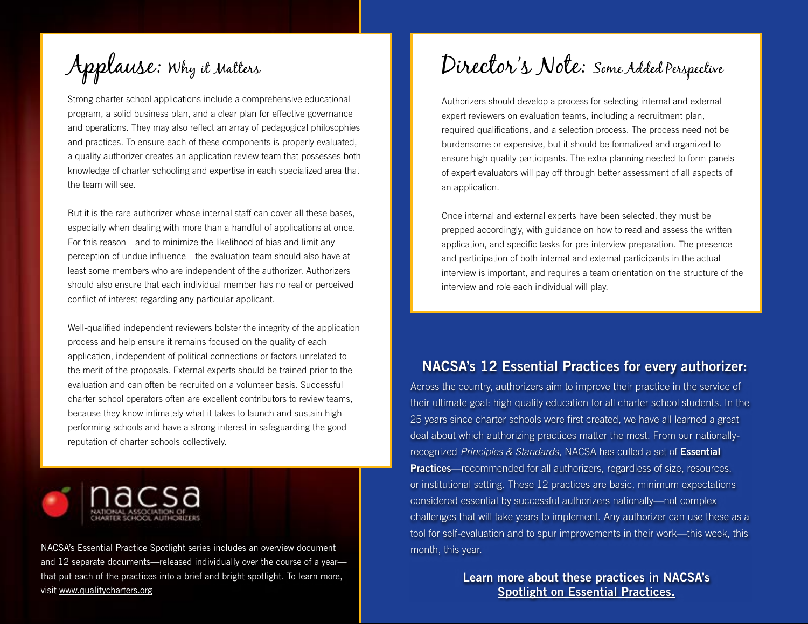Applause: Why it Matters

Strong charter school applications include a comprehensive educational program, a solid business plan, and a clear plan for effective governance and operations. They may also reflect an array of pedagogical philosophies and practices. To ensure each of these components is properly evaluated, a quality authorizer creates an application review team that possesses both knowledge of charter schooling and expertise in each specialized area that the team will see.

But it is the rare authorizer whose internal staff can cover all these bases, especially when dealing with more than a handful of applications at once. For this reason—and to minimize the likelihood of bias and limit any perception of undue influence—the evaluation team should also have at least some members who are independent of the authorizer. Authorizers should also ensure that each individual member has no real or perceived conflict of interest regarding any particular applicant.

Well-qualified independent reviewers bolster the integrity of the application process and help ensure it remains focused on the quality of each application, independent of political connections or factors unrelated to the merit of the proposals. External experts should be trained prior to the evaluation and can often be recruited on a volunteer basis. Successful charter school operators often are excellent contributors to review teams, because they know intimately what it takes to launch and sustain highperforming schools and have a strong interest in safeguarding the good reputation of charter schools collectively.



NACSA's Essential Practice Spotlight series includes an overview document and 12 separate documents—released individually over the course of a year that put each of the practices into a brief and bright spotlight. To learn more, visit [www.qualitycharters.org](http://www.qualitycharters.org)

## Director's Note: Some Added Perspective

Authorizers should develop a process for selecting internal and external expert reviewers on evaluation teams, including a recruitment plan, required qualifications, and a selection process. The process need not be burdensome or expensive, but it should be formalized and organized to ensure high quality participants. The extra planning needed to form panels of expert evaluators will pay off through better assessment of all aspects of an application.

Once internal and external experts have been selected, they must be prepped accordingly, with guidance on how to read and assess the written application, and specific tasks for pre-interview preparation. The presence and participation of both internal and external participants in the actual interview is important, and requires a team orientation on the structure of the interview and role each individual will play.

### NACSA's 12 Essential Practices for every authorizer:

Across the country, authorizers aim to improve their practice in the service of their ultimate goal: high quality education for all charter school students. In the 25 years since charter schools were first created, we have all learned a great deal about which authorizing practices matter the most. From our nationallyrecognized *Principles & Standards*, NACSA has culled a set of Essential **Practices**—recommended for all authorizers, regardless of size, resources, or institutional setting. These 12 practices are basic, minimum expectations considered essential by successful authorizers nationally—not complex challenges that will take years to implement. Any authorizer can use these as a tool for self-evaluation and to spur improvements in their work—this week, this month, this year.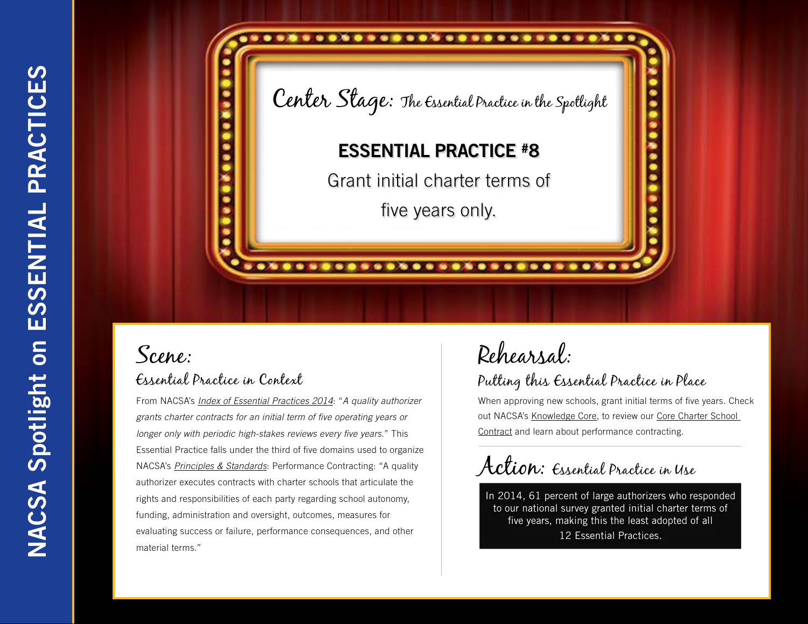

From NACSA's *[Index of Essential Practices 2014](http://www.qualitycharters.org/publications-resources/index-of-essential-practices/)*: "*A quality authorizer grants charter contracts for an initial term of five operating years or longer only with periodic high-stakes reviews every five years*." This Essential Practice falls under the third of five domains used to organize NACSA's *[Principles & Standards](http://www.qualitycharters.org/publications-resources/principles-standards.html)*: Performance Contracting: "A quality authorizer executes contracts with charter schools that articulate the rights and responsibilities of each party regarding school autonomy, funding, administration and oversight, outcomes, measures for evaluating success or failure, performance consequences, and other material terms."

# Rehearsal:

### Putting this Essential Practice in Place

When approving new schools, grant initial terms of five years. Check out NACSA's [Knowledge Core,](http://www.qualitycharters.org/publications-resources/about-nacsa-knowledge-core/) to review our [Core Charter School](http://nacsa.mycrowdwisdom.com/diweb/catalog/item/id/105582/q/c%3D82%26t%3D2207)  [Contract](http://nacsa.mycrowdwisdom.com/diweb/catalog/item/id/105582/q/c%3D82%26t%3D2207) and learn about performance contracting.

Action: Essential Practice in Use

In 2014, 61 percent of large authorizers who responded to our national survey granted initial charter terms of five years, making this the least adopted of all 12 Essential Practices.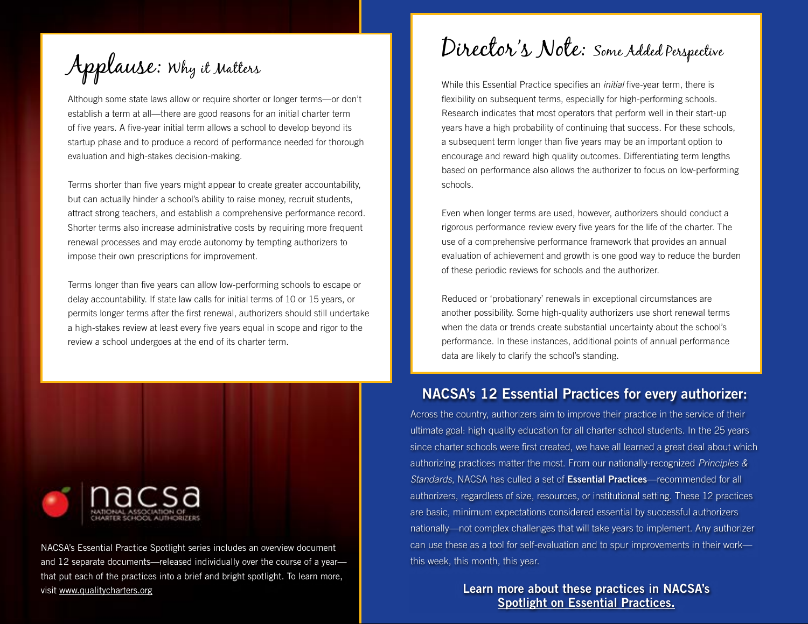Applause: Why it Matters

Although some state laws allow or require shorter or longer terms—or don't establish a term at all—there are good reasons for an initial charter term of five years. A five-year initial term allows a school to develop beyond its startup phase and to produce a record of performance needed for thorough evaluation and high-stakes decision-making.

Terms shorter than five years might appear to create greater accountability, but can actually hinder a school's ability to raise money, recruit students, attract strong teachers, and establish a comprehensive performance record. Shorter terms also increase administrative costs by requiring more frequent renewal processes and may erode autonomy by tempting authorizers to impose their own prescriptions for improvement.

Terms longer than five years can allow low-performing schools to escape or delay accountability. If state law calls for initial terms of 10 or 15 years, or permits longer terms after the first renewal, authorizers should still undertake a high-stakes review at least every five years equal in scope and rigor to the review a school undergoes at the end of its charter term.



NACSA's Essential Practice Spotlight series includes an overview document and 12 separate documents—released individually over the course of a year that put each of the practices into a brief and bright spotlight. To learn more, visit [www.qualitycharters.org](http://www.qualitycharters.org)

Director's Note: Some Added Perspective

While this Essential Practice specifies an *initial* five-year term, there is flexibility on subsequent terms, especially for high-performing schools. Research indicates that most operators that perform well in their start-up years have a high probability of continuing that success. For these schools, a subsequent term longer than five years may be an important option to encourage and reward high quality outcomes. Differentiating term lengths based on performance also allows the authorizer to focus on low-performing schools.

Even when longer terms are used, however, authorizers should conduct a rigorous performance review every five years for the life of the charter. The use of a comprehensive performance framework that provides an annual evaluation of achievement and growth is one good way to reduce the burden of these periodic reviews for schools and the authorizer.

Reduced or 'probationary' renewals in exceptional circumstances are another possibility. Some high-quality authorizers use short renewal terms when the data or trends create substantial uncertainty about the school's performance. In these instances, additional points of annual performance data are likely to clarify the school's standing.

### NACSA's 12 Essential Practices for every authorizer:

Across the country, authorizers aim to improve their practice in the service of their ultimate goal: high quality education for all charter school students. In the 25 years since charter schools were first created, we have all learned a great deal about which authorizing practices matter the most. From our nationally-recognized *Principles & Standards*, NACSA has culled a set of Essential Practices—recommended for all authorizers, regardless of size, resources, or institutional setting. These 12 practices are basic, minimum expectations considered essential by successful authorizers nationally—not complex challenges that will take years to implement. Any authorizer can use these as a tool for self-evaluation and to spur improvements in their work this week, this month, this year.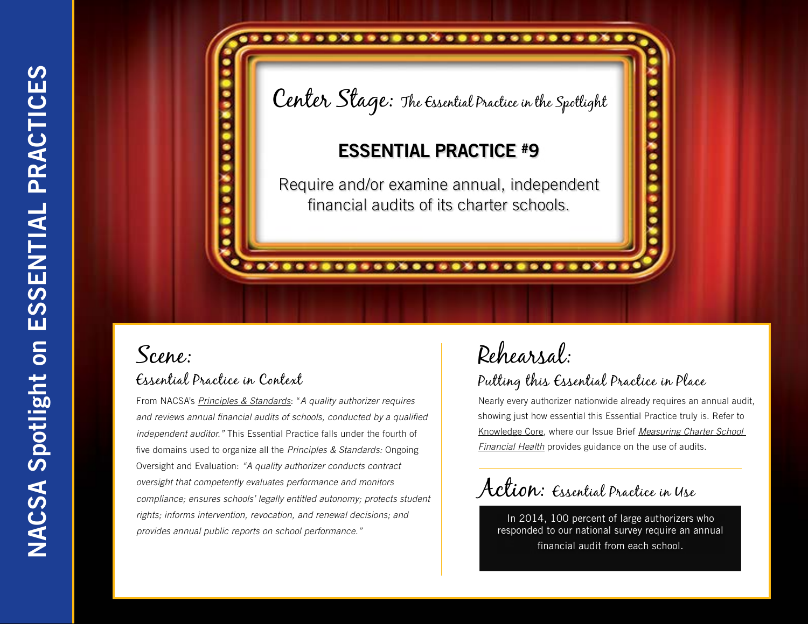# ......................... Center Stage: The Essential Practice in the Spotlight ESSENTIAL PRACTICE #9 Require and/or examine annual, independent financial audits of its charter schools.

............................

## Scene: Essential Practice in Context

From NACSA's *[Principles & Standards](http://www.qualitycharters.org/publications-resources/principles-standards.html)*: "*A quality authorizer requires and reviews annual financial audits of schools, conducted by a qualified independent auditor."* This Essential Practice falls under the fourth of five domains used to organize all the *Principles & Standards:* Ongoing Oversight and Evaluation: *"A quality authorizer conducts contract oversight that competently evaluates performance and monitors compliance; ensures schools' legally entitled autonomy; protects student rights; informs intervention, revocation, and renewal decisions; and provides annual public reports on school performance."*

# Rehearsal:

### Putting this Essential Practice in Place

Nearly every authorizer nationwide already requires an annual audit, showing just how essential this Essential Practice truly is. Refer to [Knowledge Core,](http://www.qualitycharters.org/publications-resources/about-nacsa-knowledge-core/) where our Issue Brief *[Measuring Charter School](http://nacsa.mycrowdwisdom.com/diweb/catalog/item/id/77238/q/n%3D1%26c%3D82%26t%3D2220)  [Financial Health](http://nacsa.mycrowdwisdom.com/diweb/catalog/item/id/77238/q/n%3D1%26c%3D82%26t%3D2220)* provides guidance on the use of audits.

Action: Essential Practice in Use

In 2014, 100 percent of large authorizers who responded to our national survey require an annual financial audit from each school.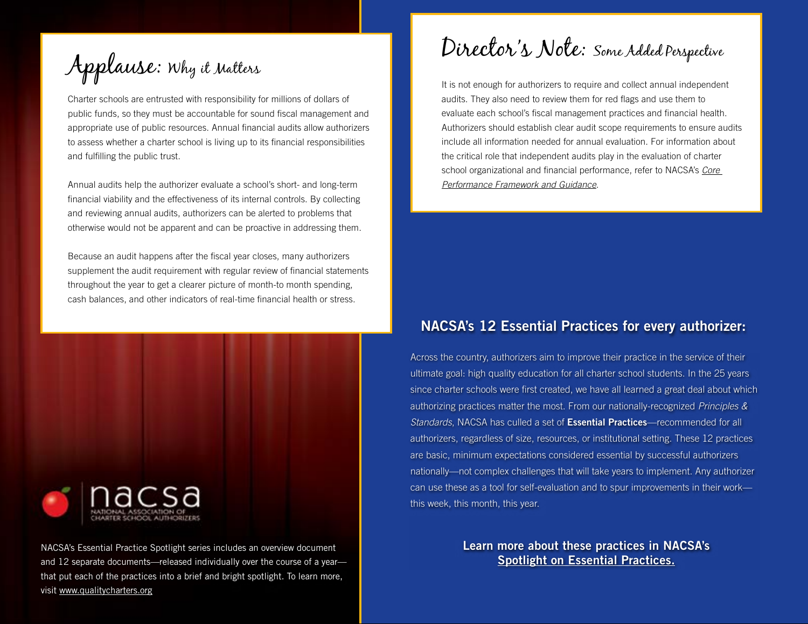Applause: Why it Matters

Charter schools are entrusted with responsibility for millions of dollars of public funds, so they must be accountable for sound fiscal management and appropriate use of public resources. Annual financial audits allow authorizers to assess whether a charter school is living up to its financial responsibilities and fulfilling the public trust.

Annual audits help the authorizer evaluate a school's short- and long-term financial viability and the effectiveness of its internal controls. By collecting and reviewing annual audits, authorizers can be alerted to problems that otherwise would not be apparent and can be proactive in addressing them.

Because an audit happens after the fiscal year closes, many authorizers supplement the audit requirement with regular review of financial statements throughout the year to get a clearer picture of month-to month spending, cash balances, and other indicators of real-time financial health or stress.



NACSA's Essential Practice Spotlight series includes an overview document and 12 separate documents—released individually over the course of a year that put each of the practices into a brief and bright spotlight. To learn more, visit [www.qualitycharters.org](http://www.qualitycharters.org)

Director's Note: Some Added Perspective

It is not enough for authorizers to require and collect annual independent audits. They also need to review them for red flags and use them to evaluate each school's fiscal management practices and financial health. Authorizers should establish clear audit scope requirements to ensure audits include all information needed for annual evaluation. For information about the critical role that independent audits play in the evaluation of charter school organizational and financial performance, refer to NACSA's *[Core](http://nacsa.mycrowdwisdom.com/diweb/catalog/item/id/126547/q/c%3D82%26t%3D2207)  [Performance Framework and Guidance](http://nacsa.mycrowdwisdom.com/diweb/catalog/item/id/126547/q/c%3D82%26t%3D2207)*.

### NACSA's 12 Essential Practices for every authorizer:

Across the country, authorizers aim to improve their practice in the service of their ultimate goal: high quality education for all charter school students. In the 25 years since charter schools were first created, we have all learned a great deal about which authorizing practices matter the most. From our nationally-recognized *Principles & Standards*, NACSA has culled a set of Essential Practices—recommended for all authorizers, regardless of size, resources, or institutional setting. These 12 practices are basic, minimum expectations considered essential by successful authorizers nationally—not complex challenges that will take years to implement. Any authorizer can use these as a tool for self-evaluation and to spur improvements in their work this week, this month, this year.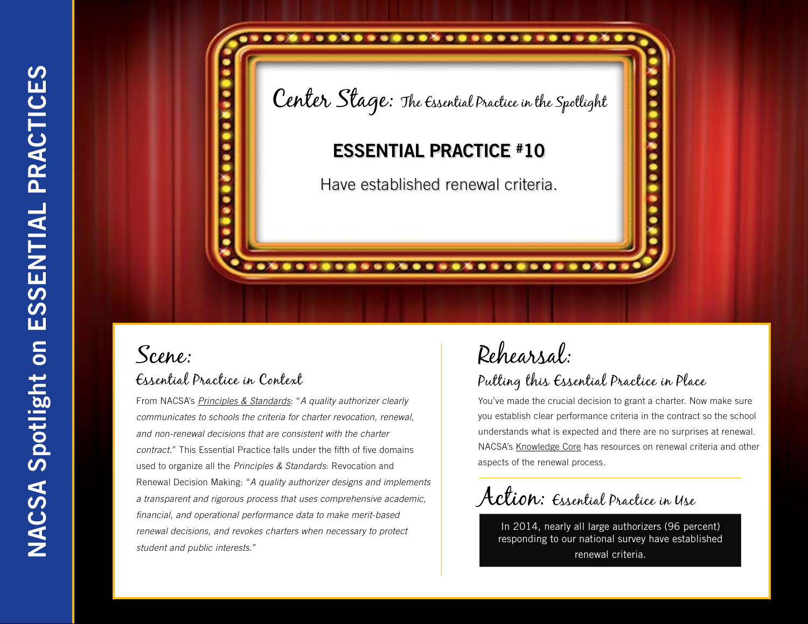

From NACSA's *[Principles & Standards](http://www.qualitycharters.org/publications-resources/principles-standards.html)*: "*A quality authorizer clearly communicates to schools the criteria for charter revocation, renewal, and non-renewal decisions that are consistent with the charter contract.*" This Essential Practice falls under the fifth of five domains used to organize all the *Principles & Standards*: Revocation and Renewal Decision Making: "*A quality authorizer designs and implements a transparent and rigorous process that uses comprehensive academic, financial, and operational performance data to make merit-based renewal decisions, and revokes charters when necessary to protect student and public interests.*"

## Rehearsal: Putting this Essential Practice in Place

You've made the crucial decision to grant a charter. Now make sure you establish clear performance criteria in the contract so the school understands what is expected and there are no surprises at renewal. NACSA's [Knowledge Core](http://www.qualitycharters.org/publications-resources/about-nacsa-knowledge-core/) has resources on renewal criteria and other aspects of the renewal process.

Action: Essential Practice in Use

In 2014, nearly all large authorizers (96 percent) responding to our national survey have established renewal criteria.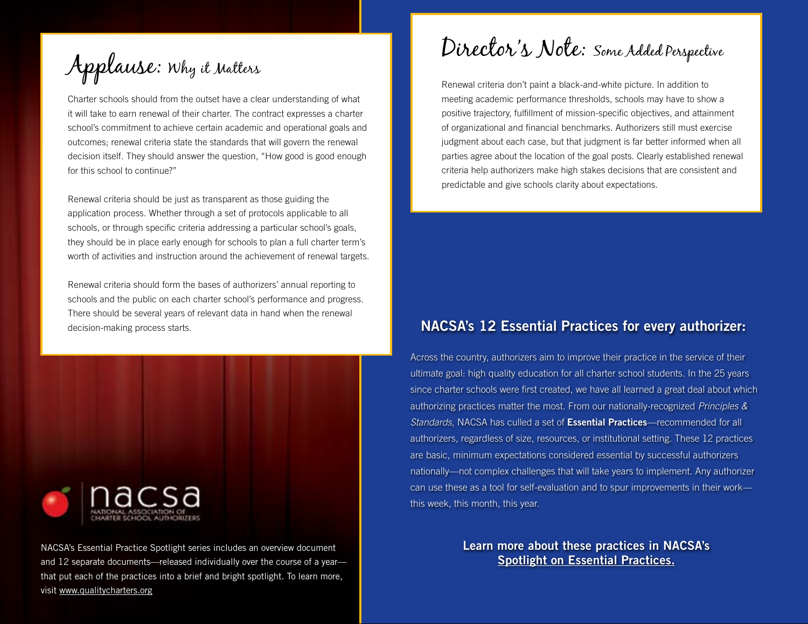Applause: Why it Matters

Charter schools should from the outset have a clear understanding of what it will take to earn renewal of their charter. The contract expresses a charter school's commitment to achieve certain academic and operational goals and outcomes; renewal criteria state the standards that will govern the renewal decision itself. They should answer the question, "How good is good enough for this school to continue?"

Renewal criteria should be just as transparent as those guiding the application process. Whether through a set of protocols applicable to all schools, or through specific criteria addressing a particular school's goals, they should be in place early enough for schools to plan a full charter term's worth of activities and instruction around the achievement of renewal targets.

Renewal criteria should form the bases of authorizers' annual reporting to schools and the public on each charter school's performance and progress. There should be several years of relevant data in hand when the renewal decision-making process starts.



NACSA's Essential Practice Spotlight series includes an overview document and 12 separate documents—released individually over the course of a year that put each of the practices into a brief and bright spotlight. To learn more, visit [www.qualitycharters.org](http://www.qualitycharters.org)

Director's Note: Some Added Perspective

Renewal criteria don't paint a black-and-white picture. In addition to meeting academic performance thresholds, schools may have to show a positive trajectory, fulfillment of mission-specific objectives, and attainment of organizational and financial benchmarks. Authorizers still must exercise judgment about each case, but that judgment is far better informed when all parties agree about the location of the goal posts. Clearly established renewal criteria help authorizers make high stakes decisions that are consistent and predictable and give schools clarity about expectations.

### NACSA's 12 Essential Practices for every authorizer:

Across the country, authorizers aim to improve their practice in the service of their ultimate goal: high quality education for all charter school students. In the 25 years since charter schools were first created, we have all learned a great deal about which authorizing practices matter the most. From our nationally-recognized *Principles & Standards*, NACSA has culled a set of Essential Practices—recommended for all authorizers, regardless of size, resources, or institutional setting. These 12 practices are basic, minimum expectations considered essential by successful authorizers nationally—not complex challenges that will take years to implement. Any authorizer can use these as a tool for self-evaluation and to spur improvements in their work this week, this month, this year.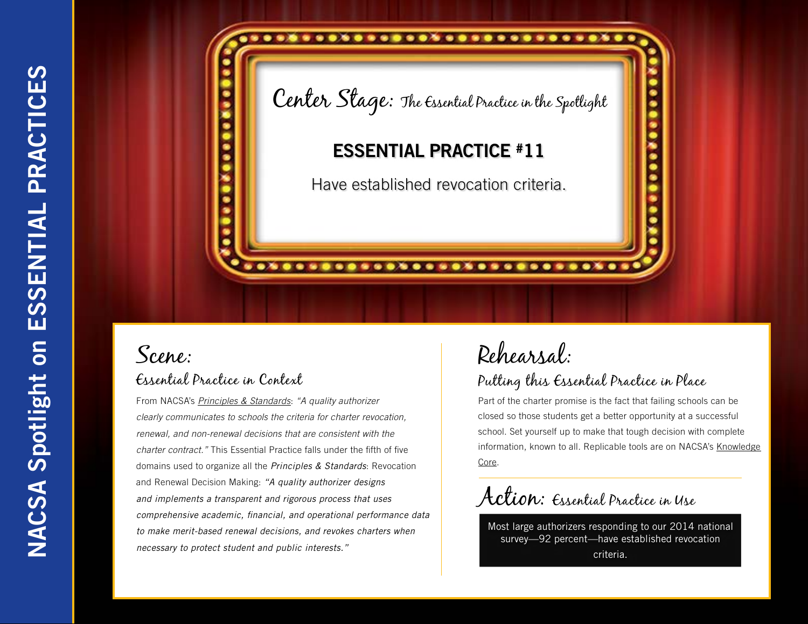

From NACSA's *[Principles & Standards](http://www.qualitycharters.org/publications-resources/principles-standards.html)*: *"A quality authorizer clearly communicates to schools the criteria for charter revocation, renewal, and non-renewal decisions that are consistent with the charter contract."* This Essential Practice falls under the fifth of five domains used to organize all the *Principles & Standards*: Revocation and Renewal Decision Making: *"A quality authorizer designs and implements a transparent and rigorous process that uses comprehensive academic, financial, and operational performance data to make merit-based renewal decisions, and revokes charters when necessary to protect student and public interests."*

# Rehearsal:

### Putting this Essential Practice in Place

Part of the charter promise is the fact that failing schools can be closed so those students get a better opportunity at a successful school. Set yourself up to make that tough decision with complete information, known to all. Replicable tools are on NACSA's Knowledge [Core.](http://www.qualitycharters.org/publications-resources/about-nacsa-knowledge-core/)

Action: Essential Practice in Use

Most large authorizers responding to our 2014 national survey—92 percent—have established revocation criteria.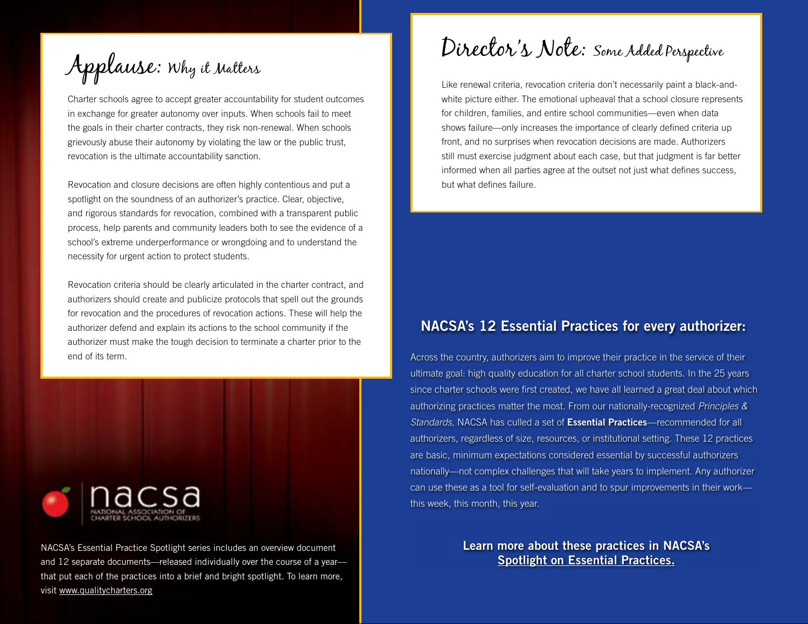Applause: Why it Matters

Charter schools agree to accept greater accountability for student outcomes in exchange for greater autonomy over inputs. When schools fail to meet the goals in their charter contracts, they risk non-renewal. When schools grievously abuse their autonomy by violating the law or the public trust, revocation is the ultimate accountability sanction.

Revocation and closure decisions are often highly contentious and put a spotlight on the soundness of an authorizer's practice. Clear, objective, and rigorous standards for revocation, combined with a transparent public process, help parents and community leaders both to see the evidence of a school's extreme underperformance or wrongdoing and to understand the necessity for urgent action to protect students.

Revocation criteria should be clearly articulated in the charter contract, and authorizers should create and publicize protocols that spell out the grounds for revocation and the procedures of revocation actions. These will help the authorizer defend and explain its actions to the school community if the authorizer must make the tough decision to terminate a charter prior to the end of its term.



NACSA's Essential Practice Spotlight series includes an overview document and 12 separate documents—released individually over the course of a year that put each of the practices into a brief and bright spotlight. To learn more, visit [www.qualitycharters.org](http://www.qualitycharters.org)

Director's Note: Some Added Perspective

Like renewal criteria, revocation criteria don't necessarily paint a black-andwhite picture either. The emotional upheaval that a school closure represents for children, families, and entire school communities—even when data shows failure—only increases the importance of clearly defined criteria up front, and no surprises when revocation decisions are made. Authorizers still must exercise judgment about each case, but that judgment is far better informed when all parties agree at the outset not just what defines success, but what defines failure.

### NACSA's 12 Essential Practices for every authorizer:

Across the country, authorizers aim to improve their practice in the service of their ultimate goal: high quality education for all charter school students. In the 25 years since charter schools were first created, we have all learned a great deal about which authorizing practices matter the most. From our nationally-recognized *Principles & Standards*, NACSA has culled a set of Essential Practices—recommended for all authorizers, regardless of size, resources, or institutional setting. These 12 practices are basic, minimum expectations considered essential by successful authorizers nationally—not complex challenges that will take years to implement. Any authorizer can use these as a tool for self-evaluation and to spur improvements in their work this week, this month, this year.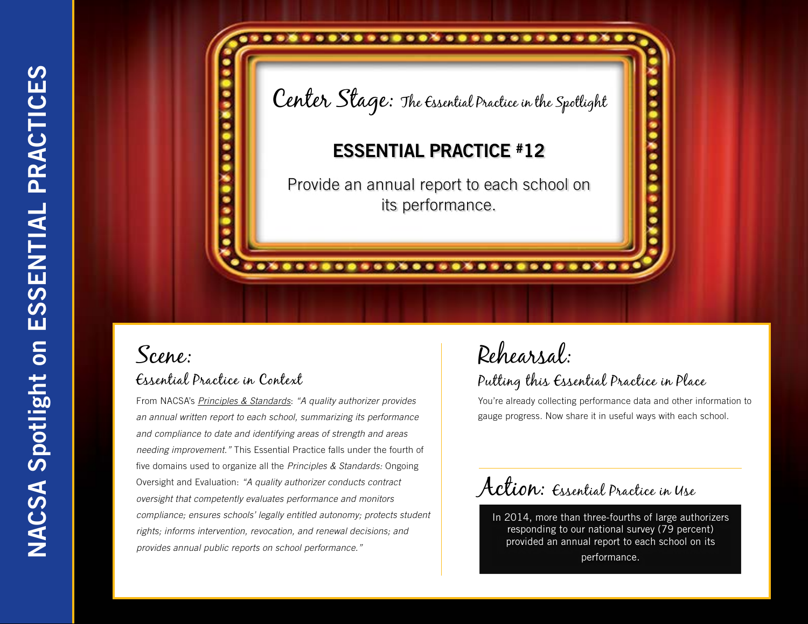

From NACSA's *[Principles & Standards](http://www.qualitycharters.org/publications-resources/principles-standards.html)*: *"A quality authorizer provides an annual written report to each school, summarizing its performance and compliance to date and identifying areas of strength and areas needing improvement."* This Essential Practice falls under the fourth of five domains used to organize all the *Principles & Standards:* Ongoing Oversight and Evaluation: *"A quality authorizer conducts contract oversight that competently evaluates performance and monitors compliance; ensures schools' legally entitled autonomy; protects student rights; informs intervention, revocation, and renewal decisions; and provides annual public reports on school performance."*

## Rehearsal: Putting this Essential Practice in Place

You're already collecting performance data and other information to gauge progress. Now share it in useful ways with each school.

Action: Essential Practice in Use

In 2014, more than three-fourths of large authorizers responding to our national survey (79 percent) provided an annual report to each school on its performance.